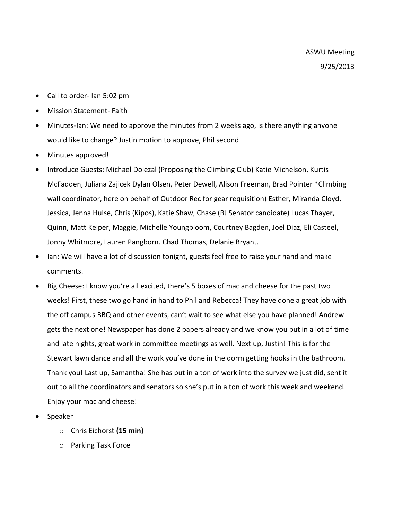- Call to order- Ian 5:02 pm
- Mission Statement- Faith
- Minutes-Ian: We need to approve the minutes from 2 weeks ago, is there anything anyone would like to change? Justin motion to approve, Phil second
- Minutes approved!
- Introduce Guests: Michael Dolezal (Proposing the Climbing Club) Katie Michelson, Kurtis McFadden, Juliana Zajicek Dylan Olsen, Peter Dewell, Alison Freeman, Brad Pointer \*Climbing wall coordinator, here on behalf of Outdoor Rec for gear requisition) Esther, Miranda Cloyd, Jessica, Jenna Hulse, Chris (Kipos), Katie Shaw, Chase (BJ Senator candidate) Lucas Thayer, Quinn, Matt Keiper, Maggie, Michelle Youngbloom, Courtney Bagden, Joel Diaz, Eli Casteel, Jonny Whitmore, Lauren Pangborn. Chad Thomas, Delanie Bryant.
- Ian: We will have a lot of discussion tonight, guests feel free to raise your hand and make comments.
- Big Cheese: I know you're all excited, there's 5 boxes of mac and cheese for the past two weeks! First, these two go hand in hand to Phil and Rebecca! They have done a great job with the off campus BBQ and other events, can't wait to see what else you have planned! Andrew gets the next one! Newspaper has done 2 papers already and we know you put in a lot of time and late nights, great work in committee meetings as well. Next up, Justin! This is for the Stewart lawn dance and all the work you've done in the dorm getting hooks in the bathroom. Thank you! Last up, Samantha! She has put in a ton of work into the survey we just did, sent it out to all the coordinators and senators so she's put in a ton of work this week and weekend. Enjoy your mac and cheese!
- Speaker
	- o Chris Eichorst **(15 min)**
	- o Parking Task Force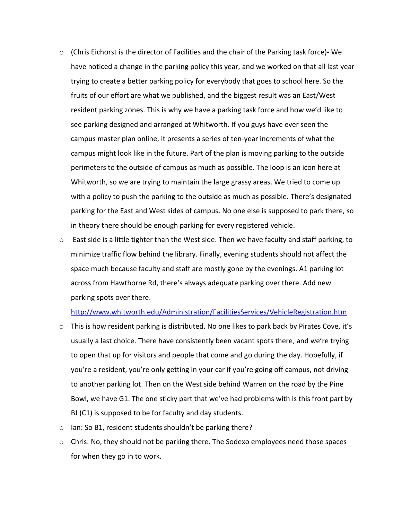- $\circ$  (Chris Eichorst is the director of Facilities and the chair of the Parking task force)-We have noticed a change in the parking policy this year, and we worked on that all last year trying to create a better parking policy for everybody that goes to school here. So the fruits of our effort are what we published, and the biggest result was an East/West resident parking zones. This is why we have a parking task force and how we'd like to see parking designed and arranged at Whitworth. If you guys have ever seen the campus master plan online, it presents a series of ten-year increments of what the campus might look like in the future. Part of the plan is moving parking to the outside perimeters to the outside of campus as much as possible. The loop is an icon here at Whitworth, so we are trying to maintain the large grassy areas. We tried to come up with a policy to push the parking to the outside as much as possible. There's designated parking for the East and West sides of campus. No one else is supposed to park there, so in theory there should be enough parking for every registered vehicle.
- $\circ$  East side is a little tighter than the West side. Then we have faculty and staff parking, to minimize traffic flow behind the library. Finally, evening students should not affect the space much because faculty and staff are mostly gone by the evenings. A1 parking lot across from Hawthorne Rd, there's always adequate parking over there. Add new parking spots over there.

<http://www.whitworth.edu/Administration/FacilitiesServices/VehicleRegistration.htm>

- $\circ$  This is how resident parking is distributed. No one likes to park back by Pirates Cove, it's usually a last choice. There have consistently been vacant spots there, and we're trying to open that up for visitors and people that come and go during the day. Hopefully, if you're a resident, you're only getting in your car if you're going off campus, not driving to another parking lot. Then on the West side behind Warren on the road by the Pine Bowl, we have G1. The one sticky part that we've had problems with is this front part by BJ (C1) is supposed to be for faculty and day students.
- o Ian: So B1, resident students shouldn't be parking there?
- $\circ$  Chris: No, they should not be parking there. The Sodexo employees need those spaces for when they go in to work.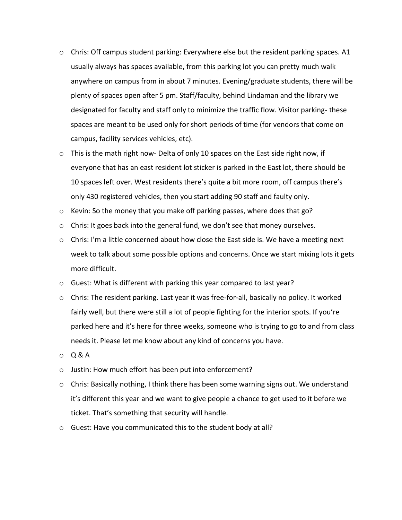- $\circ$  Chris: Off campus student parking: Everywhere else but the resident parking spaces. A1 usually always has spaces available, from this parking lot you can pretty much walk anywhere on campus from in about 7 minutes. Evening/graduate students, there will be plenty of spaces open after 5 pm. Staff/faculty, behind Lindaman and the library we designated for faculty and staff only to minimize the traffic flow. Visitor parking- these spaces are meant to be used only for short periods of time (for vendors that come on campus, facility services vehicles, etc).
- $\circ$  This is the math right now- Delta of only 10 spaces on the East side right now, if everyone that has an east resident lot sticker is parked in the East lot, there should be 10 spaces left over. West residents there's quite a bit more room, off campus there's only 430 registered vehicles, then you start adding 90 staff and faulty only.
- $\circ$  Kevin: So the money that you make off parking passes, where does that go?
- $\circ$  Chris: It goes back into the general fund, we don't see that money ourselves.
- $\circ$  Chris: I'm a little concerned about how close the East side is. We have a meeting next week to talk about some possible options and concerns. Once we start mixing lots it gets more difficult.
- o Guest: What is different with parking this year compared to last year?
- o Chris: The resident parking. Last year it was free-for-all, basically no policy. It worked fairly well, but there were still a lot of people fighting for the interior spots. If you're parked here and it's here for three weeks, someone who is trying to go to and from class needs it. Please let me know about any kind of concerns you have.
- $O$  Q & A
- o Justin: How much effort has been put into enforcement?
- $\circ$  Chris: Basically nothing, I think there has been some warning signs out. We understand it's different this year and we want to give people a chance to get used to it before we ticket. That's something that security will handle.
- o Guest: Have you communicated this to the student body at all?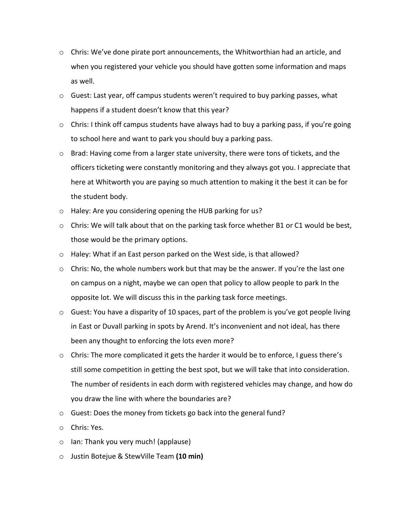- $\circ$  Chris: We've done pirate port announcements, the Whitworthian had an article, and when you registered your vehicle you should have gotten some information and maps as well.
- $\circ$  Guest: Last year, off campus students weren't required to buy parking passes, what happens if a student doesn't know that this year?
- $\circ$  Chris: I think off campus students have always had to buy a parking pass, if you're going to school here and want to park you should buy a parking pass.
- $\circ$  Brad: Having come from a larger state university, there were tons of tickets, and the officers ticketing were constantly monitoring and they always got you. I appreciate that here at Whitworth you are paying so much attention to making it the best it can be for the student body.
- o Haley: Are you considering opening the HUB parking for us?
- $\circ$  Chris: We will talk about that on the parking task force whether B1 or C1 would be best, those would be the primary options.
- o Haley: What if an East person parked on the West side, is that allowed?
- $\circ$  Chris: No, the whole numbers work but that may be the answer. If you're the last one on campus on a night, maybe we can open that policy to allow people to park In the opposite lot. We will discuss this in the parking task force meetings.
- $\circ$  Guest: You have a disparity of 10 spaces, part of the problem is you've got people living in East or Duvall parking in spots by Arend. It's inconvenient and not ideal, has there been any thought to enforcing the lots even more?
- $\circ$  Chris: The more complicated it gets the harder it would be to enforce, I guess there's still some competition in getting the best spot, but we will take that into consideration. The number of residents in each dorm with registered vehicles may change, and how do you draw the line with where the boundaries are?
- o Guest: Does the money from tickets go back into the general fund?
- o Chris: Yes.
- o Ian: Thank you very much! (applause)
- o Justin Botejue & StewVille Team **(10 min)**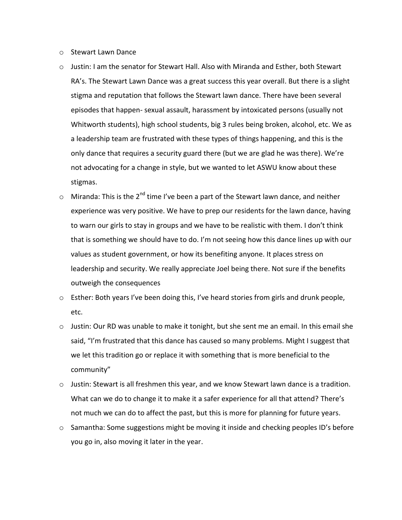- o Stewart Lawn Dance
- o Justin: I am the senator for Stewart Hall. Also with Miranda and Esther, both Stewart RA's. The Stewart Lawn Dance was a great success this year overall. But there is a slight stigma and reputation that follows the Stewart lawn dance. There have been several episodes that happen- sexual assault, harassment by intoxicated persons (usually not Whitworth students), high school students, big 3 rules being broken, alcohol, etc. We as a leadership team are frustrated with these types of things happening, and this is the only dance that requires a security guard there (but we are glad he was there). We're not advocating for a change in style, but we wanted to let ASWU know about these stigmas.
- $\circ$  Miranda: This is the 2<sup>nd</sup> time I've been a part of the Stewart lawn dance, and neither experience was very positive. We have to prep our residents for the lawn dance, having to warn our girls to stay in groups and we have to be realistic with them. I don't think that is something we should have to do. I'm not seeing how this dance lines up with our values as student government, or how its benefiting anyone. It places stress on leadership and security. We really appreciate Joel being there. Not sure if the benefits outweigh the consequences
- o Esther: Both years I've been doing this, I've heard stories from girls and drunk people, etc.
- $\circ$  Justin: Our RD was unable to make it tonight, but she sent me an email. In this email she said, "I'm frustrated that this dance has caused so many problems. Might I suggest that we let this tradition go or replace it with something that is more beneficial to the community"
- $\circ$  Justin: Stewart is all freshmen this year, and we know Stewart lawn dance is a tradition. What can we do to change it to make it a safer experience for all that attend? There's not much we can do to affect the past, but this is more for planning for future years.
- o Samantha: Some suggestions might be moving it inside and checking peoples ID's before you go in, also moving it later in the year.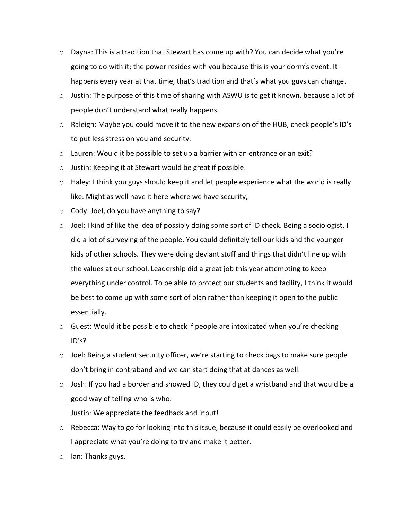- $\circ$  Dayna: This is a tradition that Stewart has come up with? You can decide what you're going to do with it; the power resides with you because this is your dorm's event. It happens every year at that time, that's tradition and that's what you guys can change.
- $\circ$  Justin: The purpose of this time of sharing with ASWU is to get it known, because a lot of people don't understand what really happens.
- $\circ$  Raleigh: Maybe you could move it to the new expansion of the HUB, check people's ID's to put less stress on you and security.
- $\circ$  Lauren: Would it be possible to set up a barrier with an entrance or an exit?
- o Justin: Keeping it at Stewart would be great if possible.
- $\circ$  Haley: I think you guys should keep it and let people experience what the world is really like. Might as well have it here where we have security,
- o Cody: Joel, do you have anything to say?
- $\circ$  Joel: I kind of like the idea of possibly doing some sort of ID check. Being a sociologist, I did a lot of surveying of the people. You could definitely tell our kids and the younger kids of other schools. They were doing deviant stuff and things that didn't line up with the values at our school. Leadership did a great job this year attempting to keep everything under control. To be able to protect our students and facility, I think it would be best to come up with some sort of plan rather than keeping it open to the public essentially.
- o Guest: Would it be possible to check if people are intoxicated when you're checking ID's?
- $\circ$  Joel: Being a student security officer, we're starting to check bags to make sure people don't bring in contraband and we can start doing that at dances as well.
- o Josh: If you had a border and showed ID, they could get a wristband and that would be a good way of telling who is who.

Justin: We appreciate the feedback and input!

- o Rebecca: Way to go for looking into this issue, because it could easily be overlooked and I appreciate what you're doing to try and make it better.
- o Ian: Thanks guys.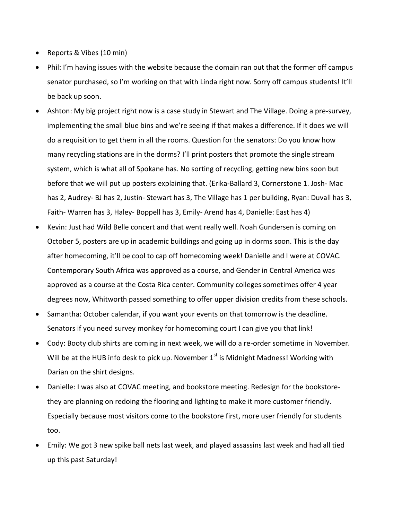- Reports & Vibes (10 min)
- Phil: I'm having issues with the website because the domain ran out that the former off campus senator purchased, so I'm working on that with Linda right now. Sorry off campus students! It'll be back up soon.
- Ashton: My big project right now is a case study in Stewart and The Village. Doing a pre-survey, implementing the small blue bins and we're seeing if that makes a difference. If it does we will do a requisition to get them in all the rooms. Question for the senators: Do you know how many recycling stations are in the dorms? I'll print posters that promote the single stream system, which is what all of Spokane has. No sorting of recycling, getting new bins soon but before that we will put up posters explaining that. (Erika-Ballard 3, Cornerstone 1. Josh- Mac has 2, Audrey- BJ has 2, Justin- Stewart has 3, The Village has 1 per building, Ryan: Duvall has 3, Faith- Warren has 3, Haley- Boppell has 3, Emily- Arend has 4, Danielle: East has 4)
- Kevin: Just had Wild Belle concert and that went really well. Noah Gundersen is coming on October 5, posters are up in academic buildings and going up in dorms soon. This is the day after homecoming, it'll be cool to cap off homecoming week! Danielle and I were at COVAC. Contemporary South Africa was approved as a course, and Gender in Central America was approved as a course at the Costa Rica center. Community colleges sometimes offer 4 year degrees now, Whitworth passed something to offer upper division credits from these schools.
- Samantha: October calendar, if you want your events on that tomorrow is the deadline. Senators if you need survey monkey for homecoming court I can give you that link!
- Cody: Booty club shirts are coming in next week, we will do a re-order sometime in November. Will be at the HUB info desk to pick up. November  $1<sup>st</sup>$  is Midnight Madness! Working with Darian on the shirt designs.
- Danielle: I was also at COVAC meeting, and bookstore meeting. Redesign for the bookstorethey are planning on redoing the flooring and lighting to make it more customer friendly. Especially because most visitors come to the bookstore first, more user friendly for students too.
- Emily: We got 3 new spike ball nets last week, and played assassins last week and had all tied up this past Saturday!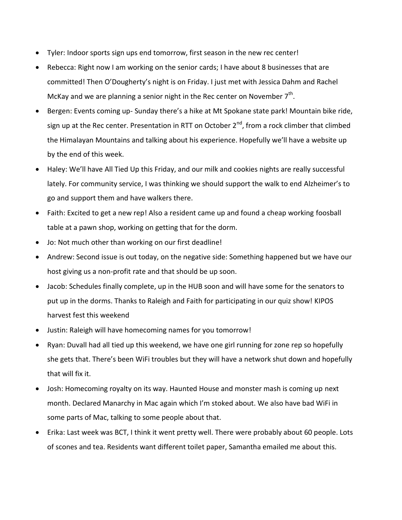- Tyler: Indoor sports sign ups end tomorrow, first season in the new rec center!
- Rebecca: Right now I am working on the senior cards; I have about 8 businesses that are committed! Then O'Dougherty's night is on Friday. I just met with Jessica Dahm and Rachel McKay and we are planning a senior night in the Rec center on November  $7<sup>th</sup>$ .
- Bergen: Events coming up- Sunday there's a hike at Mt Spokane state park! Mountain bike ride, sign up at the Rec center. Presentation in RTT on October  $2^{nd}$ , from a rock climber that climbed the Himalayan Mountains and talking about his experience. Hopefully we'll have a website up by the end of this week.
- Haley: We'll have All Tied Up this Friday, and our milk and cookies nights are really successful lately. For community service, I was thinking we should support the walk to end Alzheimer's to go and support them and have walkers there.
- Faith: Excited to get a new rep! Also a resident came up and found a cheap working foosball table at a pawn shop, working on getting that for the dorm.
- Jo: Not much other than working on our first deadline!
- Andrew: Second issue is out today, on the negative side: Something happened but we have our host giving us a non-profit rate and that should be up soon.
- Jacob: Schedules finally complete, up in the HUB soon and will have some for the senators to put up in the dorms. Thanks to Raleigh and Faith for participating in our quiz show! KIPOS harvest fest this weekend
- Justin: Raleigh will have homecoming names for you tomorrow!
- Ryan: Duvall had all tied up this weekend, we have one girl running for zone rep so hopefully she gets that. There's been WiFi troubles but they will have a network shut down and hopefully that will fix it.
- Josh: Homecoming royalty on its way. Haunted House and monster mash is coming up next month. Declared Manarchy in Mac again which I'm stoked about. We also have bad WiFi in some parts of Mac, talking to some people about that.
- Erika: Last week was BCT, I think it went pretty well. There were probably about 60 people. Lots of scones and tea. Residents want different toilet paper, Samantha emailed me about this.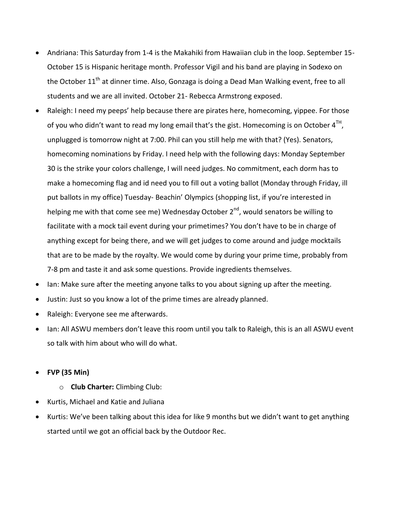- Andriana: This Saturday from 1-4 is the Makahiki from Hawaiian club in the loop. September 15- October 15 is Hispanic heritage month. Professor Vigil and his band are playing in Sodexo on the October 11<sup>th</sup> at dinner time. Also, Gonzaga is doing a Dead Man Walking event, free to all students and we are all invited. October 21- Rebecca Armstrong exposed.
- Raleigh: I need my peeps' help because there are pirates here, homecoming, yippee. For those of you who didn't want to read my long email that's the gist. Homecoming is on October 4<sup>TH</sup>, unplugged is tomorrow night at 7:00. Phil can you still help me with that? (Yes). Senators, homecoming nominations by Friday. I need help with the following days: Monday September 30 is the strike your colors challenge, I will need judges. No commitment, each dorm has to make a homecoming flag and id need you to fill out a voting ballot (Monday through Friday, ill put ballots in my office) Tuesday- Beachin' Olympics (shopping list, if you're interested in helping me with that come see me) Wednesday October 2<sup>nd</sup>, would senators be willing to facilitate with a mock tail event during your primetimes? You don't have to be in charge of anything except for being there, and we will get judges to come around and judge mocktails that are to be made by the royalty. We would come by during your prime time, probably from 7-8 pm and taste it and ask some questions. Provide ingredients themselves.
- Ian: Make sure after the meeting anyone talks to you about signing up after the meeting.
- Justin: Just so you know a lot of the prime times are already planned.
- Raleigh: Everyone see me afterwards.
- Ian: All ASWU members don't leave this room until you talk to Raleigh, this is an all ASWU event so talk with him about who will do what.
- **FVP (35 Min)**
	- o **Club Charter:** Climbing Club:
- Kurtis, Michael and Katie and Juliana
- Kurtis: We've been talking about this idea for like 9 months but we didn't want to get anything started until we got an official back by the Outdoor Rec.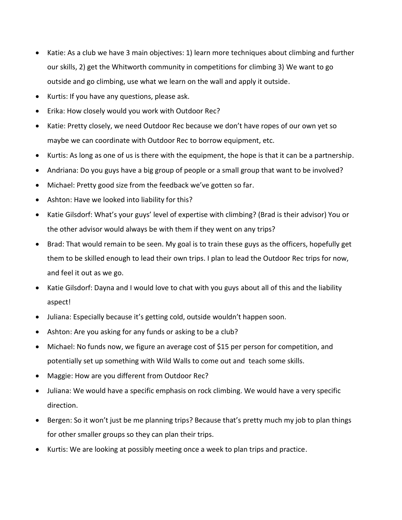- Katie: As a club we have 3 main objectives: 1) learn more techniques about climbing and further our skills, 2) get the Whitworth community in competitions for climbing 3) We want to go outside and go climbing, use what we learn on the wall and apply it outside.
- Kurtis: If you have any questions, please ask.
- Erika: How closely would you work with Outdoor Rec?
- Katie: Pretty closely, we need Outdoor Rec because we don't have ropes of our own yet so maybe we can coordinate with Outdoor Rec to borrow equipment, etc.
- Kurtis: As long as one of us is there with the equipment, the hope is that it can be a partnership.
- Andriana: Do you guys have a big group of people or a small group that want to be involved?
- Michael: Pretty good size from the feedback we've gotten so far.
- Ashton: Have we looked into liability for this?
- Katie Gilsdorf: What's your guys' level of expertise with climbing? (Brad is their advisor) You or the other advisor would always be with them if they went on any trips?
- Brad: That would remain to be seen. My goal is to train these guys as the officers, hopefully get them to be skilled enough to lead their own trips. I plan to lead the Outdoor Rec trips for now, and feel it out as we go.
- Katie Gilsdorf: Dayna and I would love to chat with you guys about all of this and the liability aspect!
- Juliana: Especially because it's getting cold, outside wouldn't happen soon.
- Ashton: Are you asking for any funds or asking to be a club?
- Michael: No funds now, we figure an average cost of \$15 per person for competition, and potentially set up something with Wild Walls to come out and teach some skills.
- Maggie: How are you different from Outdoor Rec?
- Juliana: We would have a specific emphasis on rock climbing. We would have a very specific direction.
- Bergen: So it won't just be me planning trips? Because that's pretty much my job to plan things for other smaller groups so they can plan their trips.
- Kurtis: We are looking at possibly meeting once a week to plan trips and practice.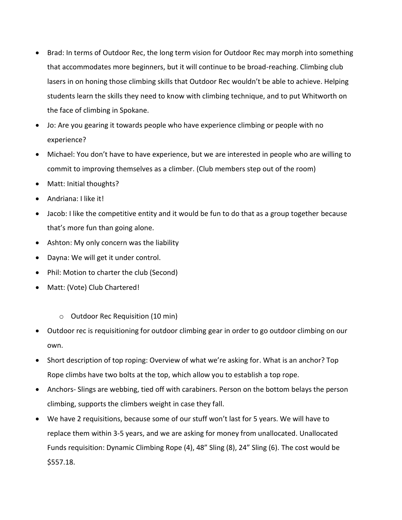- Brad: In terms of Outdoor Rec, the long term vision for Outdoor Rec may morph into something that accommodates more beginners, but it will continue to be broad-reaching. Climbing club lasers in on honing those climbing skills that Outdoor Rec wouldn't be able to achieve. Helping students learn the skills they need to know with climbing technique, and to put Whitworth on the face of climbing in Spokane.
- Jo: Are you gearing it towards people who have experience climbing or people with no experience?
- Michael: You don't have to have experience, but we are interested in people who are willing to commit to improving themselves as a climber. (Club members step out of the room)
- Matt: Initial thoughts?
- Andriana: I like it!
- Jacob: I like the competitive entity and it would be fun to do that as a group together because that's more fun than going alone.
- Ashton: My only concern was the liability
- Dayna: We will get it under control.
- Phil: Motion to charter the club (Second)
- Matt: (Vote) Club Chartered!
	- o Outdoor Rec Requisition (10 min)
- Outdoor rec is requisitioning for outdoor climbing gear in order to go outdoor climbing on our own.
- Short description of top roping: Overview of what we're asking for. What is an anchor? Top Rope climbs have two bolts at the top, which allow you to establish a top rope.
- Anchors- Slings are webbing, tied off with carabiners. Person on the bottom belays the person climbing, supports the climbers weight in case they fall.
- We have 2 requisitions, because some of our stuff won't last for 5 years. We will have to replace them within 3-5 years, and we are asking for money from unallocated. Unallocated Funds requisition: Dynamic Climbing Rope (4), 48" Sling (8), 24" Sling (6). The cost would be \$557.18.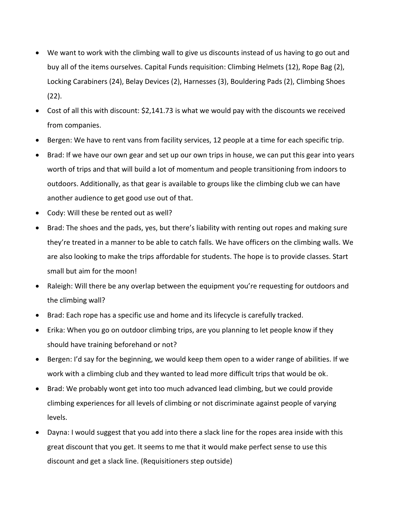- We want to work with the climbing wall to give us discounts instead of us having to go out and buy all of the items ourselves. Capital Funds requisition: Climbing Helmets (12), Rope Bag (2), Locking Carabiners (24), Belay Devices (2), Harnesses (3), Bouldering Pads (2), Climbing Shoes (22).
- Cost of all this with discount: \$2,141.73 is what we would pay with the discounts we received from companies.
- Bergen: We have to rent vans from facility services, 12 people at a time for each specific trip.
- Brad: If we have our own gear and set up our own trips in house, we can put this gear into years worth of trips and that will build a lot of momentum and people transitioning from indoors to outdoors. Additionally, as that gear is available to groups like the climbing club we can have another audience to get good use out of that.
- Cody: Will these be rented out as well?
- Brad: The shoes and the pads, yes, but there's liability with renting out ropes and making sure they're treated in a manner to be able to catch falls. We have officers on the climbing walls. We are also looking to make the trips affordable for students. The hope is to provide classes. Start small but aim for the moon!
- Raleigh: Will there be any overlap between the equipment you're requesting for outdoors and the climbing wall?
- Brad: Each rope has a specific use and home and its lifecycle is carefully tracked.
- Erika: When you go on outdoor climbing trips, are you planning to let people know if they should have training beforehand or not?
- Bergen: I'd say for the beginning, we would keep them open to a wider range of abilities. If we work with a climbing club and they wanted to lead more difficult trips that would be ok.
- Brad: We probably wont get into too much advanced lead climbing, but we could provide climbing experiences for all levels of climbing or not discriminate against people of varying levels.
- Dayna: I would suggest that you add into there a slack line for the ropes area inside with this great discount that you get. It seems to me that it would make perfect sense to use this discount and get a slack line. (Requisitioners step outside)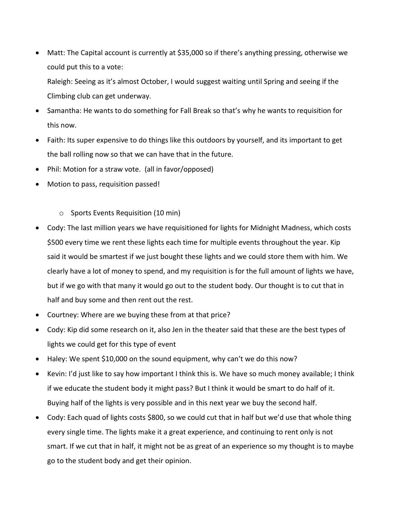Matt: The Capital account is currently at \$35,000 so if there's anything pressing, otherwise we could put this to a vote:

Raleigh: Seeing as it's almost October, I would suggest waiting until Spring and seeing if the Climbing club can get underway.

- Samantha: He wants to do something for Fall Break so that's why he wants to requisition for this now.
- Faith: Its super expensive to do things like this outdoors by yourself, and its important to get the ball rolling now so that we can have that in the future.
- Phil: Motion for a straw vote. (all in favor/opposed)
- Motion to pass, requisition passed!
	- o Sports Events Requisition (10 min)
- Cody: The last million years we have requisitioned for lights for Midnight Madness, which costs \$500 every time we rent these lights each time for multiple events throughout the year. Kip said it would be smartest if we just bought these lights and we could store them with him. We clearly have a lot of money to spend, and my requisition is for the full amount of lights we have, but if we go with that many it would go out to the student body. Our thought is to cut that in half and buy some and then rent out the rest.
- Courtney: Where are we buying these from at that price?
- Cody: Kip did some research on it, also Jen in the theater said that these are the best types of lights we could get for this type of event
- Haley: We spent \$10,000 on the sound equipment, why can't we do this now?
- Kevin: I'd just like to say how important I think this is. We have so much money available; I think if we educate the student body it might pass? But I think it would be smart to do half of it. Buying half of the lights is very possible and in this next year we buy the second half.
- Cody: Each quad of lights costs \$800, so we could cut that in half but we'd use that whole thing every single time. The lights make it a great experience, and continuing to rent only is not smart. If we cut that in half, it might not be as great of an experience so my thought is to maybe go to the student body and get their opinion.